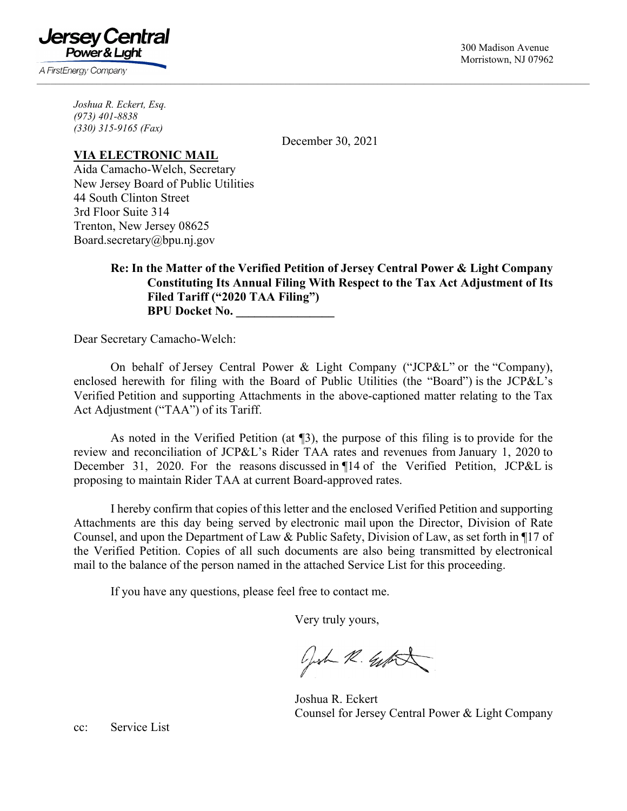300 Madison Avenue Morristown, NJ 07962

*Joshua R. Eckert, Esq. (973) 401-8838* 

Jersev Central Power & Lıqht

A FirstEnergy Company

*(330) 315-9165 (Fax)* 

December 30, 2021

 $\mathcal{L}_\mathcal{L} = \mathcal{L}_\mathcal{L} = \mathcal{L}_\mathcal{L} = \mathcal{L}_\mathcal{L} = \mathcal{L}_\mathcal{L} = \mathcal{L}_\mathcal{L} = \mathcal{L}_\mathcal{L} = \mathcal{L}_\mathcal{L} = \mathcal{L}_\mathcal{L} = \mathcal{L}_\mathcal{L} = \mathcal{L}_\mathcal{L} = \mathcal{L}_\mathcal{L} = \mathcal{L}_\mathcal{L} = \mathcal{L}_\mathcal{L} = \mathcal{L}_\mathcal{L} = \mathcal{L}_\mathcal{L} = \mathcal{L}_\mathcal{L}$ 

## **VIA ELECTRONIC MAIL**

Aida Camacho-Welch, Secretary New Jersey Board of Public Utilities 44 South Clinton Street 3rd Floor Suite 314 Trenton, New Jersey 08625 Board.secretary@bpu.nj.gov

# **Re: In the Matter of the Verified Petition of Jersey Central Power & Light Company Constituting Its Annual Filing With Respect to the Tax Act Adjustment of Its Filed Tariff ("2020 TAA Filing") BPU Docket No.**

Dear Secretary Camacho-Welch:

On behalf of Jersey Central Power & Light Company ("JCP&L" or the "Company), enclosed herewith for filing with the Board of Public Utilities (the "Board") is the JCP&L's Verified Petition and supporting Attachments in the above-captioned matter relating to the Tax Act Adjustment ("TAA") of its Tariff.

As noted in the Verified Petition (at ¶3), the purpose of this filing is to provide for the review and reconciliation of JCP&L's Rider TAA rates and revenues from January 1, 2020 to December 31, 2020. For the reasons discussed in ¶14 of the Verified Petition, JCP&L is proposing to maintain Rider TAA at current Board-approved rates.

I hereby confirm that copies of this letter and the enclosed Verified Petition and supporting Attachments are this day being served by electronic mail upon the Director, Division of Rate Counsel, and upon the Department of Law & Public Safety, Division of Law, as set forth in ¶17 of the Verified Petition. Copies of all such documents are also being transmitted by electronical mail to the balance of the person named in the attached Service List for this proceeding.

If you have any questions, please feel free to contact me.

Very truly yours,

Josh R. Geffet

 Joshua R. Eckert Counsel for Jersey Central Power & Light Company

cc: Service List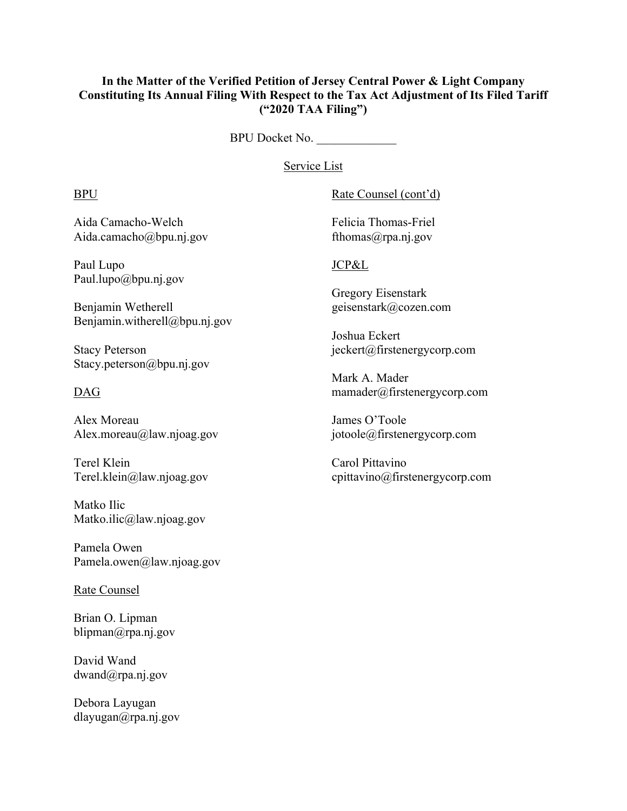# **In the Matter of the Verified Petition of Jersey Central Power & Light Company Constituting Its Annual Filing With Respect to the Tax Act Adjustment of Its Filed Tariff ("2020 TAA Filing")**

BPU Docket No. \_\_\_\_\_\_\_\_\_\_\_\_\_

Service List

Aida Camacho-Welch Felicia Thomas-Friel Aida.camacho@bpu.nj.gov fthomas@rpa.nj.gov

Paul Lupo JCP&L Paul.lupo@bpu.nj.gov

Benjamin Wetherell geisenstark@cozen.com Benjamin.witherell@bpu.nj.gov

Stacy.peterson@bpu.nj.gov

Alex Moreau James O'Toole Alex.moreau@law.njoag.gov jotoole@firstenergycorp.com

Terel Klein Carol Pittavino

Matko Ilic Matko.ilic@law.njoag.gov

Pamela Owen Pamela.owen@law.njoag.gov

# Rate Counsel

Brian O. Lipman blipman@rpa.nj.gov

David Wand dwand@rpa.nj.gov

Debora Layugan dlayugan@rpa.nj.gov

# BPU Rate Counsel (cont'd)

Gregory Eisenstark

 Joshua Eckert Stacy Peterson jeckert@firstenergycorp.com

 Mark A. Mader DAG mamader@firstenergycorp.com

Terel.klein@law.njoag.gov cpittavino@firstenergycorp.com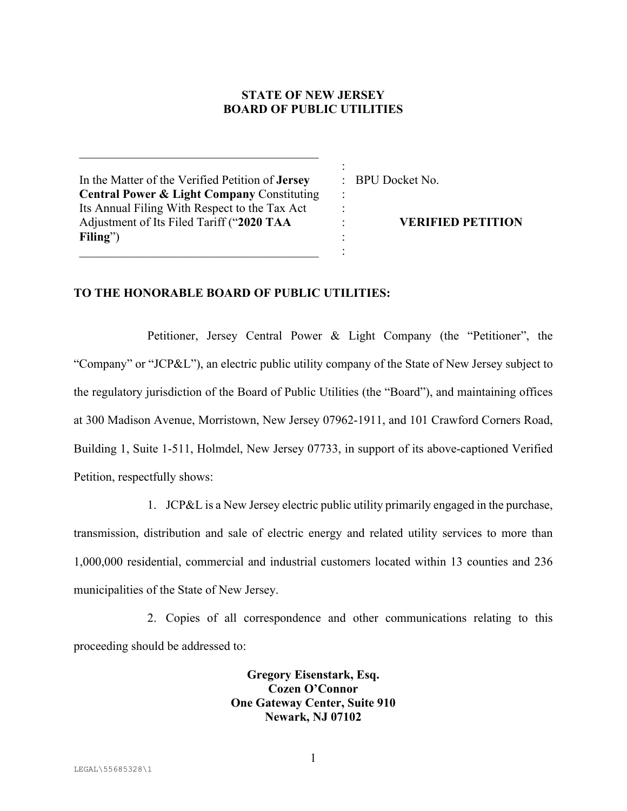# **STATE OF NEW JERSEY BOARD OF PUBLIC UTILITIES**

:

: : : : :

In the Matter of the Verified Petition of **Jersey Central Power & Light Company** Constituting Its Annual Filing With Respect to the Tax Act Adjustment of Its Filed Tariff ("**2020 TAA Filing**")

: BPU Docket No.

**VERIFIED PETITION**

## **TO THE HONORABLE BOARD OF PUBLIC UTILITIES:**

Petitioner, Jersey Central Power & Light Company (the "Petitioner", the "Company" or "JCP&L"), an electric public utility company of the State of New Jersey subject to the regulatory jurisdiction of the Board of Public Utilities (the "Board"), and maintaining offices at 300 Madison Avenue, Morristown, New Jersey 07962-1911, and 101 Crawford Corners Road, Building 1, Suite 1-511, Holmdel, New Jersey 07733, in support of its above-captioned Verified Petition, respectfully shows:

1. JCP&L is a New Jersey electric public utility primarily engaged in the purchase, transmission, distribution and sale of electric energy and related utility services to more than 1,000,000 residential, commercial and industrial customers located within 13 counties and 236 municipalities of the State of New Jersey.

2. Copies of all correspondence and other communications relating to this proceeding should be addressed to:

> **Gregory Eisenstark, Esq. Cozen O'Connor One Gateway Center, Suite 910 Newark, NJ 07102**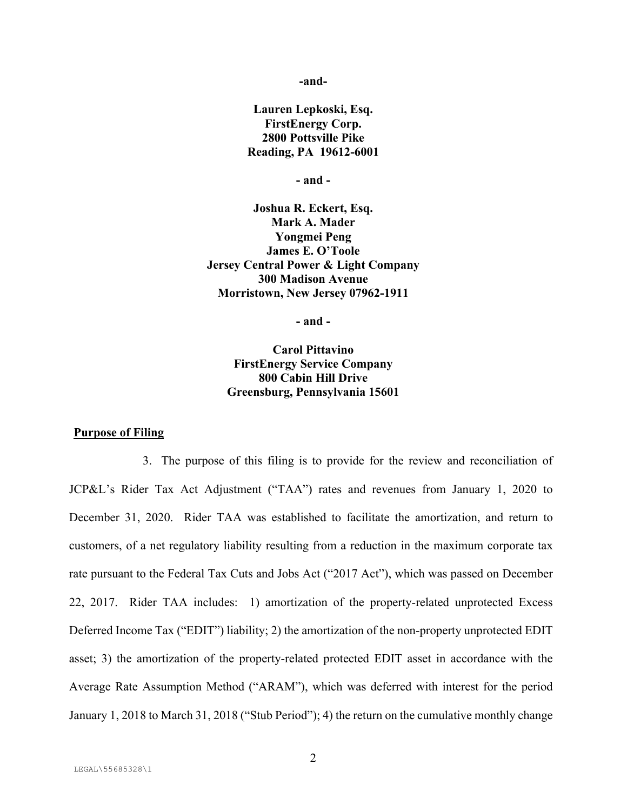**-and-**

**Lauren Lepkoski, Esq. FirstEnergy Corp. 2800 Pottsville Pike Reading, PA 19612-6001** 

**- and -** 

**Joshua R. Eckert, Esq. Mark A. Mader Yongmei Peng James E. O'Toole Jersey Central Power & Light Company 300 Madison Avenue Morristown, New Jersey 07962-1911** 

**- and -** 

**Carol Pittavino FirstEnergy Service Company 800 Cabin Hill Drive Greensburg, Pennsylvania 15601** 

## **Purpose of Filing**

3. The purpose of this filing is to provide for the review and reconciliation of JCP&L's Rider Tax Act Adjustment ("TAA") rates and revenues from January 1, 2020 to December 31, 2020. Rider TAA was established to facilitate the amortization, and return to customers, of a net regulatory liability resulting from a reduction in the maximum corporate tax rate pursuant to the Federal Tax Cuts and Jobs Act ("2017 Act"), which was passed on December 22, 2017. Rider TAA includes: 1) amortization of the property-related unprotected Excess Deferred Income Tax ("EDIT") liability; 2) the amortization of the non-property unprotected EDIT asset; 3) the amortization of the property-related protected EDIT asset in accordance with the Average Rate Assumption Method ("ARAM"), which was deferred with interest for the period January 1, 2018 to March 31, 2018 ("Stub Period"); 4) the return on the cumulative monthly change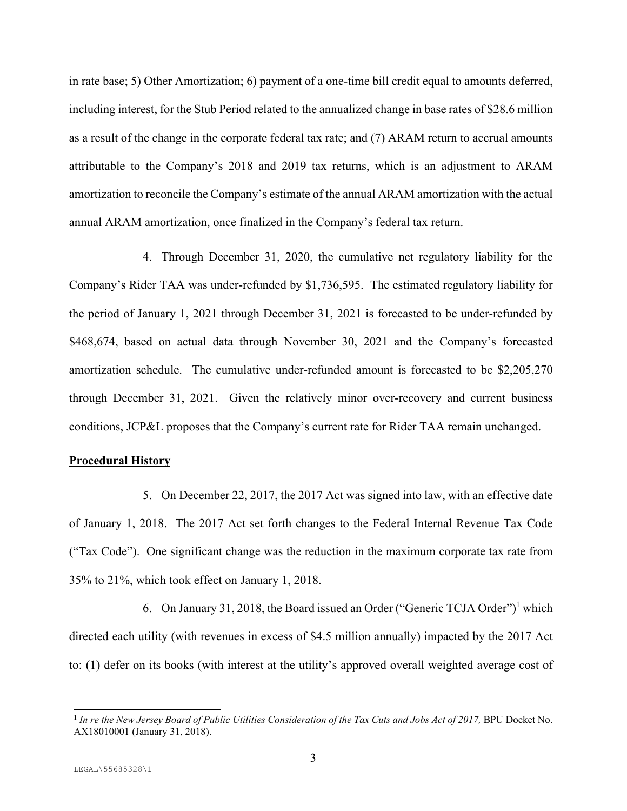in rate base; 5) Other Amortization; 6) payment of a one-time bill credit equal to amounts deferred, including interest, for the Stub Period related to the annualized change in base rates of \$28.6 million as a result of the change in the corporate federal tax rate; and (7) ARAM return to accrual amounts attributable to the Company's 2018 and 2019 tax returns, which is an adjustment to ARAM amortization to reconcile the Company's estimate of the annual ARAM amortization with the actual annual ARAM amortization, once finalized in the Company's federal tax return.

4. Through December 31, 2020, the cumulative net regulatory liability for the Company's Rider TAA was under-refunded by \$1,736,595. The estimated regulatory liability for the period of January 1, 2021 through December 31, 2021 is forecasted to be under-refunded by \$468,674, based on actual data through November 30, 2021 and the Company's forecasted amortization schedule. The cumulative under-refunded amount is forecasted to be \$2,205,270 through December 31, 2021. Given the relatively minor over-recovery and current business conditions, JCP&L proposes that the Company's current rate for Rider TAA remain unchanged.

## **Procedural History**

5. On December 22, 2017, the 2017 Act was signed into law, with an effective date of January 1, 2018. The 2017 Act set forth changes to the Federal Internal Revenue Tax Code ("Tax Code"). One significant change was the reduction in the maximum corporate tax rate from 35% to 21%, which took effect on January 1, 2018.

6. On January 31, 2018, the Board issued an Order ("Generic TCJA Order")<sup>1</sup> which directed each utility (with revenues in excess of \$4.5 million annually) impacted by the 2017 Act to: (1) defer on its books (with interest at the utility's approved overall weighted average cost of

**<sup>1</sup>** *In re the New Jersey Board of Public Utilities Consideration of the Tax Cuts and Jobs Act of 2017,* BPU Docket No. AX18010001 (January 31, 2018).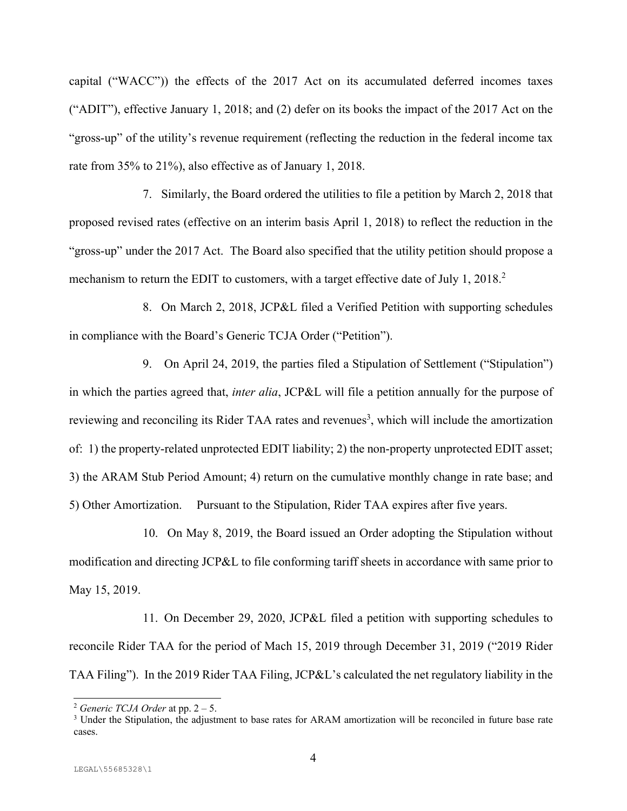capital ("WACC")) the effects of the 2017 Act on its accumulated deferred incomes taxes ("ADIT"), effective January 1, 2018; and (2) defer on its books the impact of the 2017 Act on the "gross-up" of the utility's revenue requirement (reflecting the reduction in the federal income tax rate from 35% to 21%), also effective as of January 1, 2018.

7. Similarly, the Board ordered the utilities to file a petition by March 2, 2018 that proposed revised rates (effective on an interim basis April 1, 2018) to reflect the reduction in the "gross-up" under the 2017 Act. The Board also specified that the utility petition should propose a mechanism to return the EDIT to customers, with a target effective date of July 1, 2018.<sup>2</sup>

8. On March 2, 2018, JCP&L filed a Verified Petition with supporting schedules in compliance with the Board's Generic TCJA Order ("Petition").

9. On April 24, 2019, the parties filed a Stipulation of Settlement ("Stipulation") in which the parties agreed that, *inter alia*, JCP&L will file a petition annually for the purpose of reviewing and reconciling its Rider TAA rates and revenues<sup>3</sup>, which will include the amortization of: 1) the property-related unprotected EDIT liability; 2) the non-property unprotected EDIT asset; 3) the ARAM Stub Period Amount; 4) return on the cumulative monthly change in rate base; and 5) Other Amortization. Pursuant to the Stipulation, Rider TAA expires after five years.

10. On May 8, 2019, the Board issued an Order adopting the Stipulation without modification and directing JCP&L to file conforming tariff sheets in accordance with same prior to May 15, 2019.

11. On December 29, 2020, JCP&L filed a petition with supporting schedules to reconcile Rider TAA for the period of Mach 15, 2019 through December 31, 2019 ("2019 Rider TAA Filing"). In the 2019 Rider TAA Filing, JCP&L's calculated the net regulatory liability in the

<sup>2</sup> *Generic TCJA Order* at pp. 2 – 5.

<sup>&</sup>lt;sup>3</sup> Under the Stipulation, the adjustment to base rates for ARAM amortization will be reconciled in future base rate cases.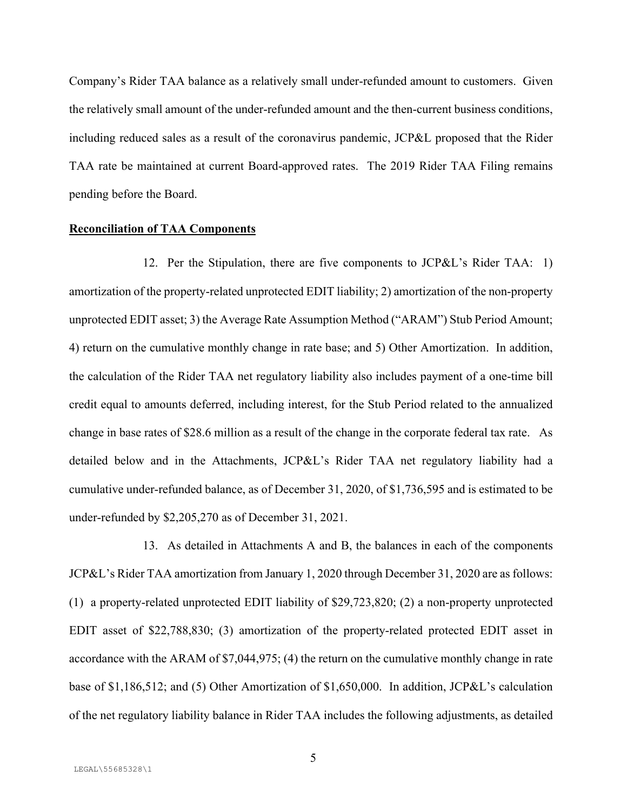Company's Rider TAA balance as a relatively small under-refunded amount to customers. Given the relatively small amount of the under-refunded amount and the then-current business conditions, including reduced sales as a result of the coronavirus pandemic, JCP&L proposed that the Rider TAA rate be maintained at current Board-approved rates. The 2019 Rider TAA Filing remains pending before the Board.

## **Reconciliation of TAA Components**

12. Per the Stipulation, there are five components to JCP&L's Rider TAA: 1) amortization of the property-related unprotected EDIT liability; 2) amortization of the non-property unprotected EDIT asset; 3) the Average Rate Assumption Method ("ARAM") Stub Period Amount; 4) return on the cumulative monthly change in rate base; and 5) Other Amortization. In addition, the calculation of the Rider TAA net regulatory liability also includes payment of a one-time bill credit equal to amounts deferred, including interest, for the Stub Period related to the annualized change in base rates of \$28.6 million as a result of the change in the corporate federal tax rate. As detailed below and in the Attachments, JCP&L's Rider TAA net regulatory liability had a cumulative under-refunded balance, as of December 31, 2020, of \$1,736,595 and is estimated to be under-refunded by \$2,205,270 as of December 31, 2021.

13. As detailed in Attachments A and B, the balances in each of the components JCP&L's Rider TAA amortization from January 1, 2020 through December 31, 2020 are as follows: (1) a property-related unprotected EDIT liability of \$29,723,820; (2) a non-property unprotected EDIT asset of \$22,788,830; (3) amortization of the property-related protected EDIT asset in accordance with the ARAM of \$7,044,975; (4) the return on the cumulative monthly change in rate base of \$1,186,512; and (5) Other Amortization of \$1,650,000. In addition, JCP&L's calculation of the net regulatory liability balance in Rider TAA includes the following adjustments, as detailed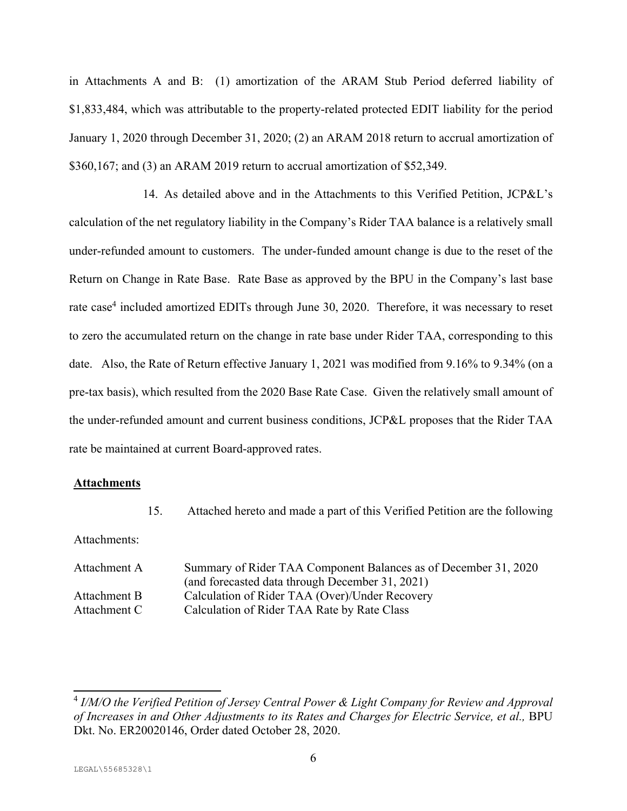in Attachments A and B: (1) amortization of the ARAM Stub Period deferred liability of \$1,833,484, which was attributable to the property-related protected EDIT liability for the period January 1, 2020 through December 31, 2020; (2) an ARAM 2018 return to accrual amortization of \$360,167; and (3) an ARAM 2019 return to accrual amortization of \$52,349.

14. As detailed above and in the Attachments to this Verified Petition, JCP&L's calculation of the net regulatory liability in the Company's Rider TAA balance is a relatively small under-refunded amount to customers. The under-funded amount change is due to the reset of the Return on Change in Rate Base. Rate Base as approved by the BPU in the Company's last base rate case<sup>4</sup> included amortized EDITs through June 30, 2020. Therefore, it was necessary to reset to zero the accumulated return on the change in rate base under Rider TAA, corresponding to this date. Also, the Rate of Return effective January 1, 2021 was modified from 9.16% to 9.34% (on a pre-tax basis), which resulted from the 2020 Base Rate Case. Given the relatively small amount of the under-refunded amount and current business conditions, JCP&L proposes that the Rider TAA rate be maintained at current Board-approved rates.

## **Attachments**

15. Attached hereto and made a part of this Verified Petition are the following

Attachments:

| Summary of Rider TAA Component Balances as of December 31, 2020 |
|-----------------------------------------------------------------|
| (and forecasted data through December 31, 2021)                 |
| Calculation of Rider TAA (Over)/Under Recovery                  |
| Calculation of Rider TAA Rate by Rate Class                     |
|                                                                 |

<sup>4</sup> *I/M/O the Verified Petition of Jersey Central Power & Light Company for Review and Approval of Increases in and Other Adjustments to its Rates and Charges for Electric Service, et al.,* BPU Dkt. No. ER20020146, Order dated October 28, 2020.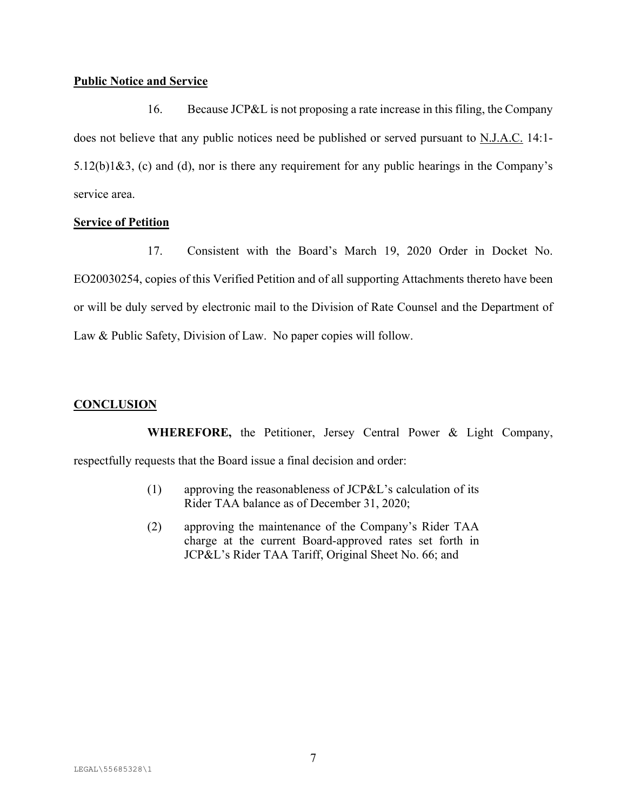## **Public Notice and Service**

16. Because JCP&L is not proposing a rate increase in this filing, the Company does not believe that any public notices need be published or served pursuant to N.J.A.C. 14:1- $5.12(b)1&3$ , (c) and (d), nor is there any requirement for any public hearings in the Company's service area.

## **Service of Petition**

17. Consistent with the Board's March 19, 2020 Order in Docket No. EO20030254, copies of this Verified Petition and of all supporting Attachments thereto have been or will be duly served by electronic mail to the Division of Rate Counsel and the Department of Law & Public Safety, Division of Law. No paper copies will follow.

# **CONCLUSION**

**WHEREFORE,** the Petitioner, Jersey Central Power & Light Company, respectfully requests that the Board issue a final decision and order:

- (1) approving the reasonableness of JCP&L's calculation of its Rider TAA balance as of December 31, 2020;
- (2) approving the maintenance of the Company's Rider TAA charge at the current Board-approved rates set forth in JCP&L's Rider TAA Tariff, Original Sheet No. 66; and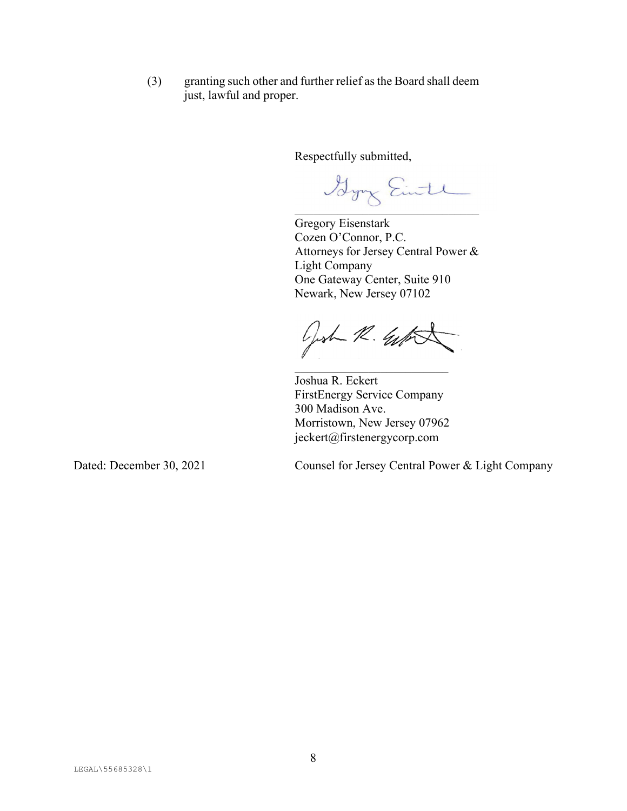(3) granting such other and further relief as the Board shall deem just, lawful and proper.

Respectfully submitted,

 $\cup$ 

Gregory Eisenstark Cozen O'Connor, P.C. Attorneys for Jersey Central Power & Light Company One Gateway Center, Suite 910 Newark, New Jersey 07102

Gost R. Gift

 Joshua R. Eckert FirstEnergy Service Company 300 Madison Ave. Morristown, New Jersey 07962 jeckert@firstenergycorp.com

Dated: December 30, 2021 Counsel for Jersey Central Power & Light Company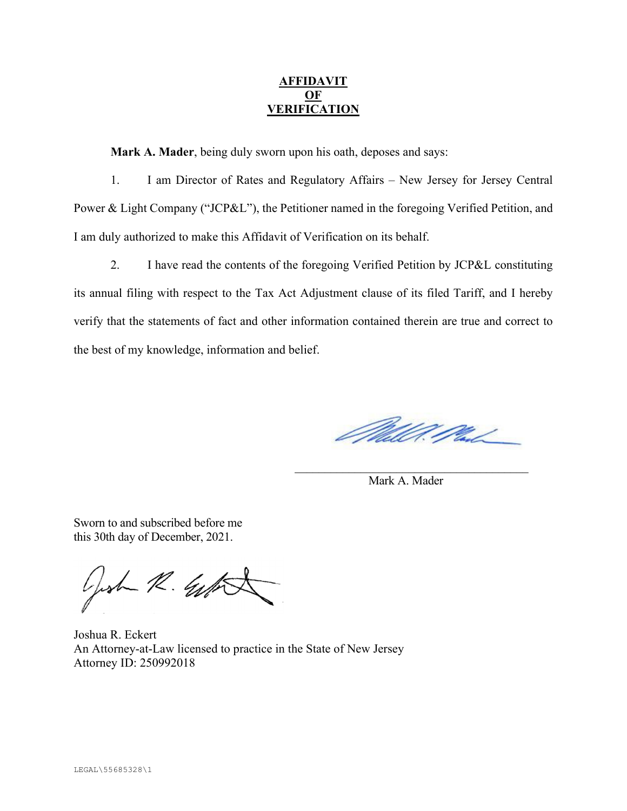# **AFFIDAVIT OF VERIFICATION**

**Mark A. Mader**, being duly sworn upon his oath, deposes and says:

 1. I am Director of Rates and Regulatory Affairs – New Jersey for Jersey Central Power & Light Company ("JCP&L"), the Petitioner named in the foregoing Verified Petition, and I am duly authorized to make this Affidavit of Verification on its behalf.

 2. I have read the contents of the foregoing Verified Petition by JCP&L constituting its annual filing with respect to the Tax Act Adjustment clause of its filed Tariff, and I hereby verify that the statements of fact and other information contained therein are true and correct to the best of my knowledge, information and belief.

Mill Mal

Mark A. Mader

Sworn to and subscribed before me this 30th day of December, 2021.

Gost R. W.

Joshua R. Eckert An Attorney-at-Law licensed to practice in the State of New Jersey Attorney ID: 250992018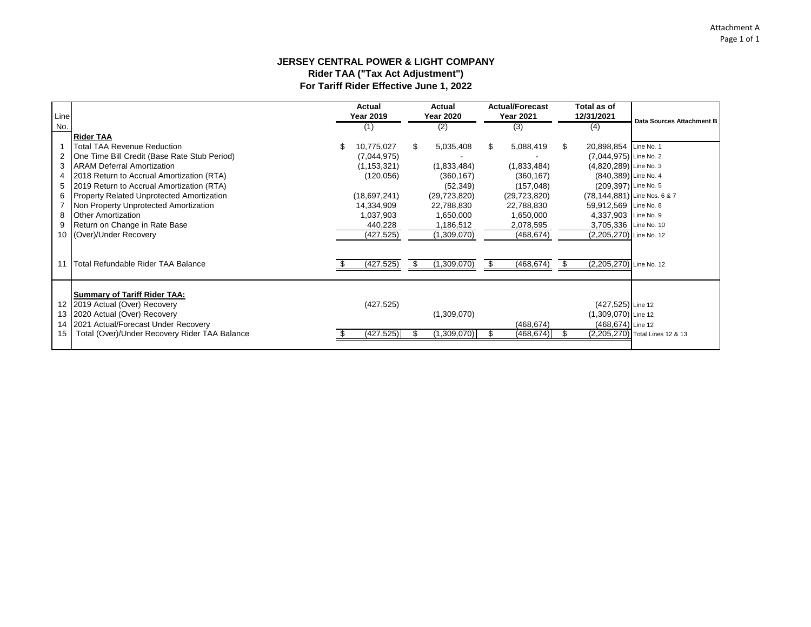## **JERSEY CENTRAL POWER & LIGHT COMPANY Rider TAA ("Tax Act Adjustment") For Tariff Rider Effective June 1, 2022**

| Line |                                                  | Actual<br><b>Year 2019</b> |     | <b>Actual</b><br><b>Year 2020</b> |     | <b>Actual/Forecast</b><br><b>Year 2021</b> | Total as of<br>12/31/2021    | Data Sources Attachment B       |
|------|--------------------------------------------------|----------------------------|-----|-----------------------------------|-----|--------------------------------------------|------------------------------|---------------------------------|
| No.  |                                                  | (1)                        |     | (2)                               |     | (3)                                        | (4)                          |                                 |
|      | <b>Rider TAA</b>                                 |                            |     |                                   |     |                                            |                              |                                 |
|      | Total TAA Revenue Reduction                      | \$<br>10,775,027           | \$. | 5,035,408                         | \$. | 5,088,419                                  | \$<br>20,898,854 Line No. 1  |                                 |
| 2    | One Time Bill Credit (Base Rate Stub Period)     | (7,044,975)                |     |                                   |     |                                            | (7,044,975) Line No. 2       |                                 |
| 3    | <b>ARAM Deferral Amortization</b>                | (1, 153, 321)              |     | (1,833,484)                       |     | (1,833,484)                                | (4,820,289) Line No. 3       |                                 |
| 4    | 2018 Return to Accrual Amortization (RTA)        | (120, 056)                 |     | (360, 167)                        |     | (360, 167)                                 | (840,389) Line No. 4         |                                 |
| 5    | 2019 Return to Accrual Amortization (RTA)        |                            |     | (52, 349)                         |     | (157, 048)                                 | (209,397) Line No. 5         |                                 |
| 6    | <b>Property Related Unprotected Amortization</b> | (18,697,241)               |     | (29, 723, 820)                    |     | (29, 723, 820)                             | (78,144,881) Line Nos. 6 & 7 |                                 |
|      | Non Property Unprotected Amortization            | 14,334,909                 |     | 22,788,830                        |     | 22,788,830                                 | 59,912,569 Line No. 8        |                                 |
| 8    | <b>Other Amortization</b>                        | 1,037,903                  |     | 1,650,000                         |     | 1,650,000                                  | 4,337,903 Line No. 9         |                                 |
| 9    | Return on Change in Rate Base                    | 440,228                    |     | 1,186,512                         |     | 2,078,595                                  | 3,705,336 Line No. 10        |                                 |
|      | 10 (Over)/Under Recovery                         | (427, 525)                 |     | (1,309,070)                       |     | (468, 674)                                 | (2,205,270) Line No. 12      |                                 |
|      |                                                  |                            |     |                                   |     |                                            |                              |                                 |
|      | 11 Total Refundable Rider TAA Balance            | (427, 525)                 |     | (1,309,070)                       |     | (468, 674)                                 | (2,205,270) Line No. 12      |                                 |
|      |                                                  |                            |     |                                   |     |                                            |                              |                                 |
|      | <b>Summary of Tariff Rider TAA:</b>              |                            |     |                                   |     |                                            |                              |                                 |
|      | 12 2019 Actual (Over) Recovery                   | (427, 525)                 |     |                                   |     |                                            | (427,525) Line 12            |                                 |
|      | 13 2020 Actual (Over) Recovery                   |                            |     | (1,309,070)                       |     |                                            | (1,309,070) Line 12          |                                 |
|      | 14 2021 Actual/Forecast Under Recovery           |                            |     |                                   |     | (468, 674)                                 | (468,674) Line 12            |                                 |
| 15   | Total (Over)/Under Recovery Rider TAA Balance    | (427, 525)                 |     | (1,309,070)                       |     | (468, 674)                                 |                              | (2,205,270) Total Lines 12 & 13 |
|      |                                                  |                            |     |                                   |     |                                            |                              |                                 |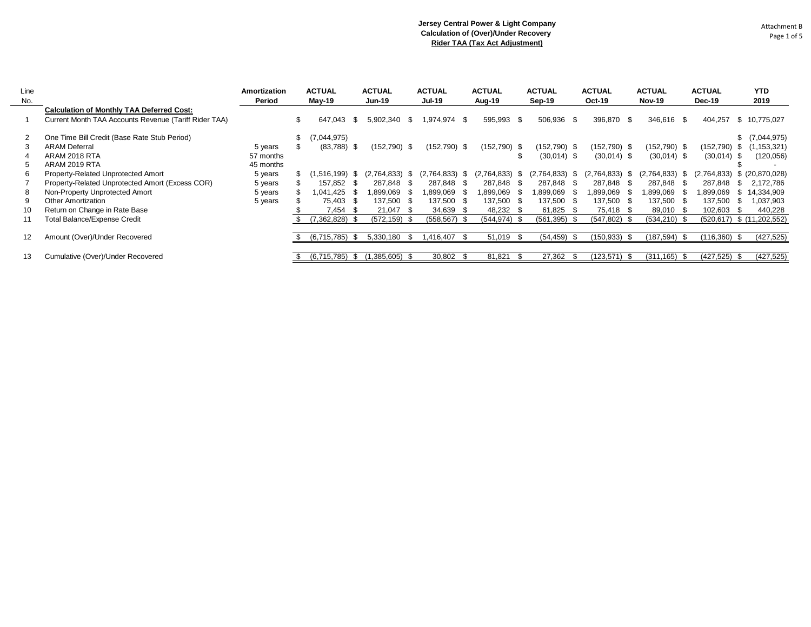| Line<br>No. |                                                       | Amortization<br>Period | <b>ACTUAL</b><br>$May-19$ |      | <b>ACTUAL</b><br><b>Jun-19</b> |      | <b>ACTUAL</b><br><b>Jul-19</b> | <b>ACTUAL</b><br>Aug-19 |      | <b>ACTUAL</b><br>Sep-19 | <b>ACTUAL</b><br><b>Oct-19</b> |      | <b>ACTUAL</b><br><b>Nov-19</b> |      | <b>ACTUAL</b><br>Dec-19          |      | <b>YTD</b><br>2019 |
|-------------|-------------------------------------------------------|------------------------|---------------------------|------|--------------------------------|------|--------------------------------|-------------------------|------|-------------------------|--------------------------------|------|--------------------------------|------|----------------------------------|------|--------------------|
|             | <b>Calculation of Monthly TAA Deferred Cost:</b>      |                        |                           |      |                                |      |                                |                         |      |                         |                                |      |                                |      |                                  |      |                    |
|             | Current Month TAA Accounts Revenue (Tariff Rider TAA) |                        | 647.043                   | -86  | 5.902.340                      | -S   | 974.974 \$                     | 595,993                 | - \$ | 506,936 \$              | 396,870                        | - \$ | 346.616 \$                     |      | 404.257                          | S.   | 10.775.027         |
| 2           | One Time Bill Credit (Base Rate Stub Period)          |                        | (7,044,975)               |      |                                |      |                                |                         |      |                         |                                |      |                                |      |                                  |      | \$ (7,044,975)     |
|             | <b>ARAM Deferral</b>                                  | 5 years                | $(83,788)$ \$             |      | (152,790) \$                   |      | (152,790) \$                   | $(152,790)$ \$          |      | $(152, 790)$ \$         | (152,790) \$                   |      | $(152, 790)$ \$                |      | (152,790)                        | - 95 | ,153,321)          |
|             | ARAM 2018 RTA                                         | 57 months              |                           |      |                                |      |                                |                         |      | $(30,014)$ \$           | $(30,014)$ \$                  |      | $(30,014)$ \$                  |      | $(30,014)$ \$                    |      | (120, 056)         |
|             | ARAM 2019 RTA                                         | 45 months              |                           |      |                                |      |                                |                         |      |                         |                                |      |                                |      |                                  |      |                    |
|             | Property-Related Unprotected Amort                    | 5 years                | 1,516,199)                | - 95 | $(2,764,833)$ \$               |      | (2,764,833)<br>৾ঌ              | (2,764,833)             | \$   | $(2,764,833)$ \$        | (2,764,833)                    | - 56 | (2,764,833)                    | \$   | (2,764,833)                      |      | \$ (20,870,028)    |
|             | Property-Related Unprotected Amort (Excess COR)       | 5 years                | 157,852                   | - 86 | 287.848                        | - \$ | 287.848<br>- \$                | 287.848                 | - SS | 287.848 \$              | 287.848                        | - 35 | 287.848                        | - SS | 287.848                          |      | 2,172,786          |
|             | Non-Property Unprotected Amort                        | 5 years                | 1.041.425                 | - 55 | .899.069                       |      | .899,069<br>- 35               | 899,069. ا              | - 7  | 1,899,069               | 899,069,                       | - 35 | 899,069 ا                      | - 95 | 1,899,069                        |      | 14,334,909         |
|             | Other Amortization                                    | 5 years                | 75,403                    | - 86 | 137,500                        | - \$ | 137,500<br>- \$                | 137,500 \$              |      | 137,500 \$              | 137,500                        | - 55 | 137,500                        | - \$ | 137,500                          |      | ,037,903           |
| 10          | Return on Change in Rate Base                         |                        | 7.454                     |      | 21.047                         | - SS | 34,639<br>- SS                 | 48,232                  |      | 61.825                  | 75.418                         | - 55 | 89,010                         | - \$ | 102.603                          |      | 440,228            |
| 11          | <b>Total Balance/Expense Credit</b>                   |                        | 7,362,828) \$             |      | (572,159) \$                   |      | $(558, 567)$ \$                | $(544, 974)$ \$         |      | $(561, 395)$ \$         | (547,802)                      |      | $(534, 210)$ \$                |      | $(520, 617)$ \$ $(11, 202, 552)$ |      |                    |
|             |                                                       |                        |                           |      |                                |      |                                |                         |      |                         |                                |      |                                |      |                                  |      |                    |
|             | Amount (Over)/Under Recovered                         |                        | (6.715.785)               | - 35 | 5,330,180                      | £.   | .416,407<br>-\$                | 51,019                  | - 35 | $(54, 459)$ \$          | (150,933)                      | - 35 | $(187,594)$ \$                 |      | $(116,360)$ \$                   |      | (427, 525)         |
|             |                                                       |                        |                           |      |                                |      |                                |                         |      |                         |                                |      |                                |      |                                  |      |                    |
| 13          | Cumulative (Over)/Under Recovered                     |                        | (6.715.785)               |      | 1,385,605)                     | - 85 | 30,802<br>- 35                 | 81,821                  |      | 27,362                  | (123, 571)                     | - 35 | (311.165)                      | .ზ   | (427, 525)                       |      | (427, 525)         |

 $\sim$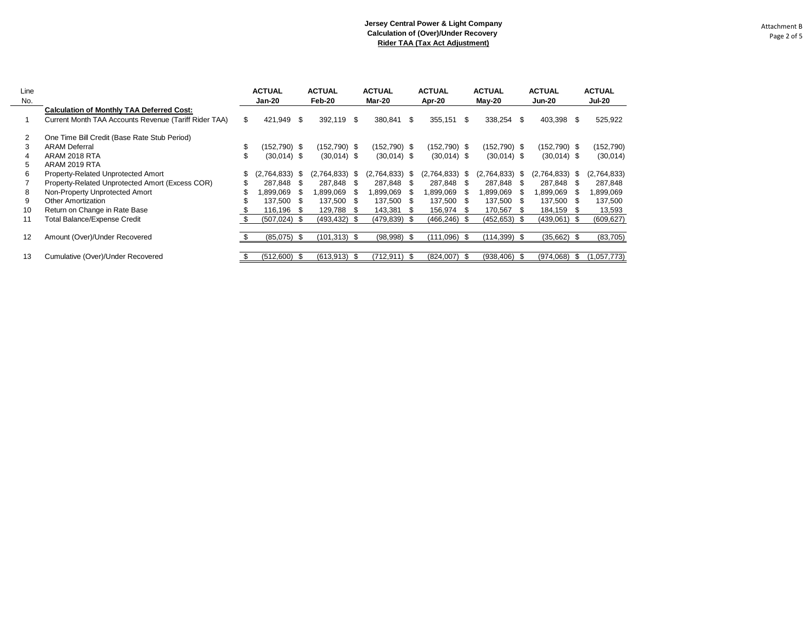\$ (512,600) \$ (613,913) \$ (712,911) \$ (824,007) \$ (938,406) \$ (974,068) \$ (1,057,773)

| Line<br>No. |                                                       |    | <b>ACTUAL</b><br>Jan-20 |      | <b>ACTUAL</b><br>Feb-20 |  | <b>ACTUAL</b><br>Mar-20 |      | <b>ACTUAL</b><br>Apr-20 |     | <b>ACTUAL</b><br>$May-20$ | <b>ACTUAL</b><br><b>Jun-20</b> |                |      | <b>ACTUAL</b><br><b>Jul-20</b> |
|-------------|-------------------------------------------------------|----|-------------------------|------|-------------------------|--|-------------------------|------|-------------------------|-----|---------------------------|--------------------------------|----------------|------|--------------------------------|
|             | <b>Calculation of Monthly TAA Deferred Cost:</b>      |    |                         |      |                         |  |                         |      |                         |     |                           |                                |                |      |                                |
|             | Current Month TAA Accounts Revenue (Tariff Rider TAA) | \$ | 421,949 \$              |      | 392.119 \$              |  | 380,841                 | \$.  | 355,151                 | \$  | 338,254 \$                |                                | 403,398        | \$.  | 525,922                        |
|             | One Time Bill Credit (Base Rate Stub Period)          |    |                         |      |                         |  |                         |      |                         |     |                           |                                |                |      |                                |
| 3           | <b>ARAM Deferral</b>                                  |    | $(152,790)$ \$          |      | $(152, 790)$ \$         |  | $(152, 790)$ \$         |      | $(152,790)$ \$          |     | $(152,790)$ \$            |                                | $(152,790)$ \$ |      | (152,790)                      |
| 4           | ARAM 2018 RTA                                         |    | $(30,014)$ \$           |      | $(30,014)$ \$           |  | $(30,014)$ \$           |      | $(30,014)$ \$           |     | $(30,014)$ \$             |                                | $(30,014)$ \$  |      | (30,014)                       |
| 5.          | ARAM 2019 RTA                                         |    |                         |      |                         |  |                         |      |                         |     |                           |                                |                |      |                                |
| 6           | Property-Related Unprotected Amort                    |    | $(2,764,833)$ \$        |      | $(2,764,833)$ \$        |  | (2,764,833)             | - \$ | $(2,764,833)$ \$        |     | $(2,764,833)$ \$          |                                | (2,764,833)    | - \$ | (2,764,833)                    |
|             | Property-Related Unprotected Amort (Excess COR)       |    | 287.848                 | - \$ | 287.848 \$              |  | 287.848                 | - \$ | 287.848                 | -SS | 287.848                   | - S                            | 287.848        |      | 287,848                        |
| 8           | Non-Property Unprotected Amort                        |    | 1,899,069               |      | 1,899,069               |  | 1,899,069               | - \$ | ,899,069                |     | 1,899,069                 | - SS                           | 899,069. ا     | S.   | 1,899,069                      |
| 9           | Other Amortization                                    |    | 137.500                 | - \$ | 137.500 \$              |  | 137.500                 | - S  | 137,500                 | -SS | 137.500 \$                |                                | 137.500        | - 95 | 137,500                        |
| 10          | Return on Change in Rate Base                         |    | 116.196                 | - \$ | 129.788 \$              |  | 143.381                 | - \$ | 156.974                 | S.  | 170.567                   | - SS                           | 184,159        | - \$ | 13,593                         |
| 11          | <b>Total Balance/Expense Credit</b>                   |    | $(507, 024)$ \$         |      | $(493, 432)$ \$         |  | $(479, 839)$ \$         |      | $(466, 246)$ \$         |     | $(452, 653)$ \$           |                                | (439,061)      | - \$ | (609, 627)                     |
| 12          | Amount (Over)/Under Recovered                         |    | $(85,075)$ \$           |      | $(101, 313)$ \$         |  | $(98,998)$ \$           |      | $(111,096)$ \$          |     | $(114, 399)$ \$           |                                | (35,662)       | - \$ | (83,705)                       |

13 Cumulative (Over)/Under Recovered

Attachment B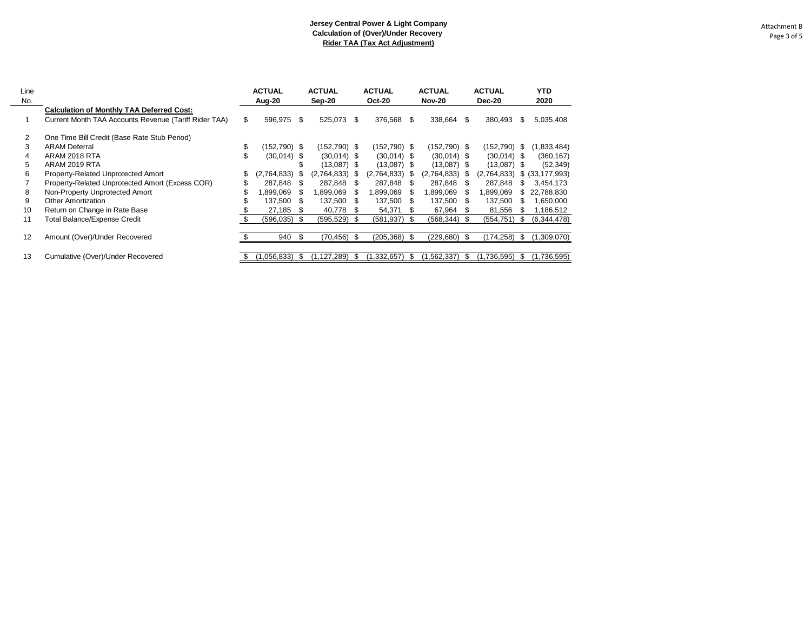| Line<br>No.    |                                                       |    | <b>ACTUAL</b><br>Aug-20 |   | <b>ACTUAL</b><br>Sep-20 |      | <b>ACTUAL</b><br><b>Oct-20</b> |    | <b>ACTUAL</b><br><b>Nov-20</b> |      | <b>ACTUAL</b><br>Dec-20 |     | <b>YTD</b><br>2020 |
|----------------|-------------------------------------------------------|----|-------------------------|---|-------------------------|------|--------------------------------|----|--------------------------------|------|-------------------------|-----|--------------------|
|                | <b>Calculation of Monthly TAA Deferred Cost:</b>      |    |                         |   |                         |      |                                |    |                                |      |                         |     |                    |
|                | Current Month TAA Accounts Revenue (Tariff Rider TAA) | \$ | 596,975                 | S | 525,073                 | \$.  | 376,568 \$                     |    | 338,664                        | S    | 380,493                 | S   | 5,035,408          |
| $\overline{2}$ | One Time Bill Credit (Base Rate Stub Period)          |    |                         |   |                         |      |                                |    |                                |      |                         |     |                    |
| 3              | <b>ARAM Deferral</b>                                  | \$ | (152,790) \$            |   | $(152, 790)$ \$         |      | (152,790) \$                   |    | $(152, 790)$ \$                |      | $(152, 790)$ \$         |     | (1,833,484)        |
| 4              | ARAM 2018 RTA                                         | \$ | $(30,014)$ \$           |   | $(30,014)$ \$           |      | $(30,014)$ \$                  |    | $(30,014)$ \$                  |      | $(30,014)$ \$           |     | (360, 167)         |
| 5              | ARAM 2019 RTA                                         |    |                         |   | $(13,087)$ \$           |      | $(13,087)$ \$                  |    | $(13,087)$ \$                  |      | $(13,087)$ \$           |     | (52, 349)          |
| 6              | Property-Related Unprotected Amort                    | \$ | (2,764,833)             |   | (2,764,833)             | S    | (2,764,833)                    | -S | $(2,764,833)$ \$               |      | (2,764,833)             | \$  | (33, 177, 993)     |
|                | Property-Related Unprotected Amort (Excess COR)       |    | 287.848                 | S | 287.848                 | S    | 287.848                        | S  | 287.848                        | - \$ | 287.848                 |     | 3,454,173          |
| 8              | Non-Property Unprotected Amort                        | S  | .899.069                | S | 1.899.069               | -SS  | 1.899.069                      | æ. | 1,899,069                      | S.   | 1,899,069               |     | 22,788,830         |
| 9              | <b>Other Amortization</b>                             |    | 137,500                 | S | 137,500                 | S    | 137,500                        | S. | 137,500                        | - \$ | 137,500                 | S   | 1,650,000          |
| 10             | Return on Change in Rate Base                         |    | 27,185                  | S | 40,778                  | - S  | 54,371                         | S. | 67,964                         | - 5  | 81,556                  |     | 1,186,512          |
| 11             | Total Balance/Expense Credit                          |    | $(596, 035)$ \$         |   | (595, 529)              | - \$ | $(581, 937)$ \$                |    | $(568, 344)$ \$                |      | (554,751)               | S   | (6,344,478)        |
|                |                                                       |    |                         |   |                         |      |                                |    |                                |      |                         |     |                    |
| 12             | Amount (Over)/Under Recovered                         |    | 940                     |   | (70, 456)               | - \$ | (205, 368)                     | \$ | (229, 680)                     | -\$  | (174, 258)              | \$. | (1,309,070)        |
|                |                                                       |    |                         |   |                         |      |                                |    |                                |      |                         |     |                    |
| 13             | Cumulative (Over)/Under Recovered                     | S  | (1,056,833)             | Ж | (1,127,289)             | - 5  | (1,332,657)                    | æ. | (1, 562, 337)                  | S    | (1,736,595)             | æ.  | (1,736,595)        |

 $\sim$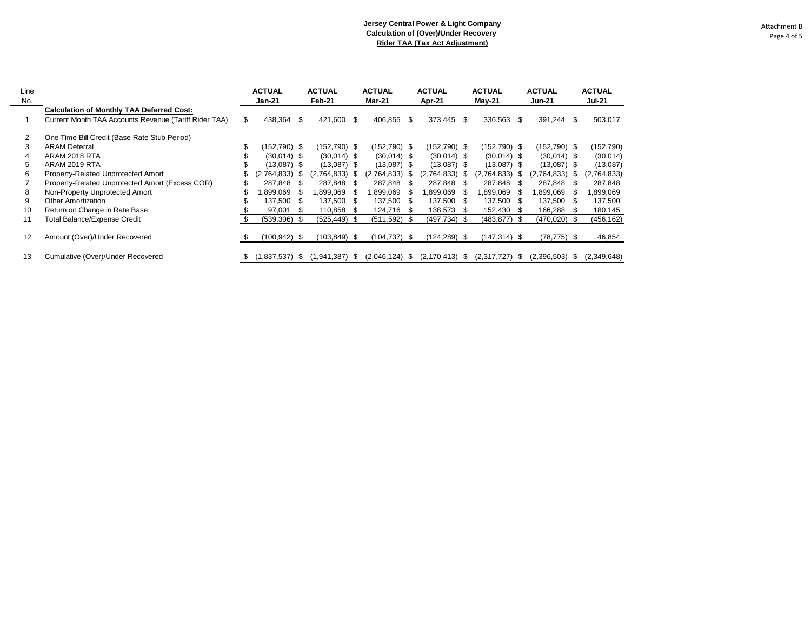| Attachment B |  |
|--------------|--|
| Page 4 of 5  |  |

| Line<br>No. |                                                       | <b>ACTUAL</b><br>Jan-21 |      | <b>ACTUAL</b><br>Feb-21 |      | <b>ACTUAL</b><br><b>Mar-21</b> |      | <b>ACTUAL</b><br>Apr-21 |      | <b>ACTUAL</b><br>$May-21$ |      | <b>ACTUAL</b><br><b>Jun-21</b> |      | <b>ACTUAL</b><br><b>Jul-21</b> |
|-------------|-------------------------------------------------------|-------------------------|------|-------------------------|------|--------------------------------|------|-------------------------|------|---------------------------|------|--------------------------------|------|--------------------------------|
|             | <b>Calculation of Monthly TAA Deferred Cost:</b>      |                         |      |                         |      |                                |      |                         |      |                           |      |                                |      |                                |
|             | Current Month TAA Accounts Revenue (Tariff Rider TAA) | \$<br>438,364           | - \$ | 421,600                 | \$   | 406,855                        | - \$ | 373,445 \$              |      | 336,563                   | - \$ | 391,244                        | \$   | 503,017                        |
| 2           | One Time Bill Credit (Base Rate Stub Period)          |                         |      |                         |      |                                |      |                         |      |                           |      |                                |      |                                |
| 3           | <b>ARAM Deferral</b>                                  | (152,790) \$            |      | (152,790) \$            |      | (152,790) \$                   |      | $(152, 790)$ \$         |      | (152,790) \$              |      | $(152, 790)$ \$                |      | (152,790)                      |
| 4           | ARAM 2018 RTA                                         | $(30,014)$ \$           |      | $(30,014)$ \$           |      | $(30,014)$ \$                  |      | $(30,014)$ \$           |      | $(30,014)$ \$             |      | $(30,014)$ \$                  |      | (30, 014)                      |
| 5           | ARAM 2019 RTA                                         | (13,087) \$             |      | $(13,087)$ \$           |      | $(13,087)$ \$                  |      | $(13,087)$ \$           |      | (13,087) \$               |      | $(13,087)$ \$                  |      | (13,087)                       |
| 6           | Property-Related Unprotected Amort                    | (2,764,833)             | - S  | (2,764,833)             | - 56 | (2,764,833)                    | - 35 | (2,764,833) \$          |      | (2,764,833)               | - S  | (2,764,833)                    | - 56 | (2,764,833)                    |
|             | Property-Related Unprotected Amort (Excess COR)       | 287.848                 | - SS | 287.848                 | - 5  | 287,848                        | - 5  | 287.848 \$              |      | 287,848                   | - 36 | 287,848                        | - 5  | 287,848                        |
| 8           | Non-Property Unprotected Amort                        | .899,069                | - \$ | ,899,069                | S.   | ,899,069                       |      | 899,069. ا              | - 35 | 899,069. ا                | - SS | ,899,069                       | S    | ,899,069                       |
| 9           | <b>Other Amortization</b>                             | 137,500                 | - \$ | 137,500                 | - \$ | 137,500                        | - 35 | 137,500                 | - \$ | 137,500                   | - SS | 137,500                        | S    | 137,500                        |
| 10          | Return on Change in Rate Base                         | 97,001                  |      | 110,858                 | - 56 | 124.716                        |      | 138,573                 | S.   | 152,430                   |      | 166,288                        | \$.  | 180,145                        |
| 11          | <b>Total Balance/Expense Credit</b>                   | $(539,306)$ \$          |      | $(525, 449)$ \$         |      | $(511, 592)$ \$                |      | (497,734) \$            |      | $(483, 877)$ \$           |      | $(470, 020)$ \$                |      | (456, 162)                     |
| 12          | Amount (Over)/Under Recovered                         | (100, 942)              | - \$ | (103, 849)              | -\$  | (104, 737)                     |      | (124,289)               | - \$ | (147,314)                 |      | (78, 775)                      | -\$  | 46,854                         |
| 13          | Cumulative (Over)/Under Recovered                     | (1, 837, 537)           | -S   | 941,387)                | \$   | (2,046,124)                    | - \$ | (2, 170, 413)           | - \$ | (2.317.727)               | \$.  | (2,396,503)                    | \$   | (2,349,648)                    |

 $\overline{\phantom{0}}$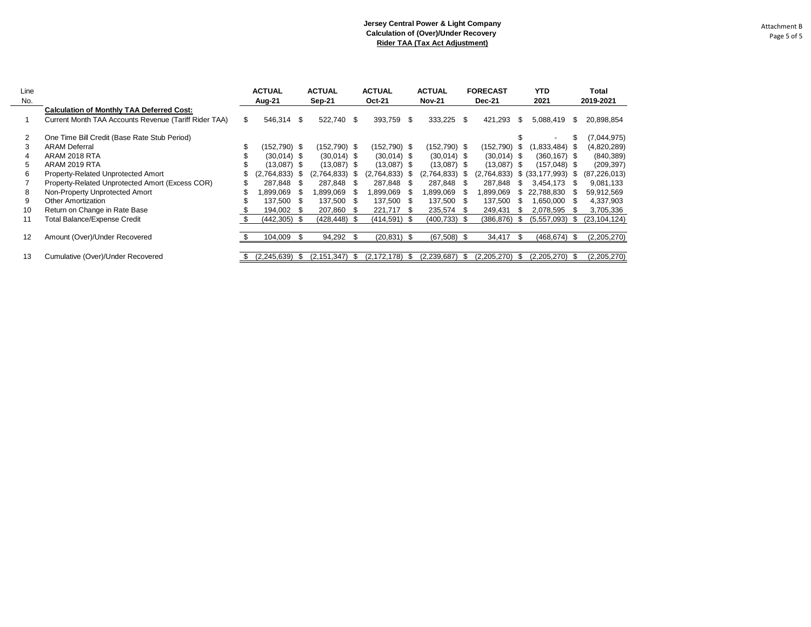| Line<br>No. |                                                       |    | <b>ACTUAL</b><br>Aug-21 |      | <b>ACTUAL</b><br><b>Sep-21</b> |      | <b>ACTUAL</b><br><b>Oct-21</b> |      | <b>ACTUAL</b><br><b>Nov-21</b> |      | <b>FORECAST</b><br><b>Dec-21</b> |      | <b>YTD</b><br>2021 |     | Total<br>2019-2021 |
|-------------|-------------------------------------------------------|----|-------------------------|------|--------------------------------|------|--------------------------------|------|--------------------------------|------|----------------------------------|------|--------------------|-----|--------------------|
|             | <b>Calculation of Monthly TAA Deferred Cost:</b>      |    |                         |      |                                |      |                                |      |                                |      |                                  |      |                    |     |                    |
|             | Current Month TAA Accounts Revenue (Tariff Rider TAA) | \$ | 546.314                 | -\$  | 522,740 \$                     |      | 393,759                        | - \$ | 333,225                        | \$   | 421,293                          | S    | 5,088,419          | S   | 20,898,854         |
| 2           | One Time Bill Credit (Base Rate Stub Period)          |    |                         |      |                                |      |                                |      |                                |      |                                  |      |                    |     | (7,044,975)        |
| 3           | <b>ARAM Deferral</b>                                  | \$ | $(152,790)$ \$          |      | (152,790) \$                   |      | $(152, 790)$ \$                |      | (152,790) \$                   |      | (152,790)                        | S    | $(1,833,484)$ \$   |     | (4,820,289)        |
| 4           | ARAM 2018 RTA                                         |    | $(30,014)$ \$           |      | $(30,014)$ \$                  |      | $(30,014)$ \$                  |      | $(30,014)$ \$                  |      | $(30,014)$ \$                    |      | $(360, 167)$ \$    |     | (840, 389)         |
| 5           | ARAM 2019 RTA                                         |    | $(13,087)$ \$           |      | $(13,087)$ \$                  |      | $(13,087)$ \$                  |      | $(13,087)$ \$                  |      | (13,087)                         | - \$ | $(157,048)$ \$     |     | (209, 397)         |
| 6           | Property-Related Unprotected Amort                    |    | (2,764,833)             | S    | $(2,764,833)$ \$               |      | (2,764,833)                    | - SS | (2,764,833)                    | - \$ | (2,764,833)                      |      | \$ (33, 177, 993)  | - 5 | (87, 226, 013)     |
|             | Property-Related Unprotected Amort (Excess COR)       |    | 287.848                 | -S   | 287.848                        | - 35 | 287,848                        | - \$ | 287,848                        | - 95 | 287.848                          | S    | 3,454,173          |     | 9,081,133          |
| 8           | Non-Property Unprotected Amort                        | S  | ,899,069                | S    | 899,069. ا                     |      | 899,069.                       | - SS | 899,069. ا                     | S.   | ,899,069                         | Ж.   | 22,788,830         |     | 59,912,569         |
| 9           | <b>Other Amortization</b>                             |    | 137,500                 | S    | 137,500                        | - 35 | 137,500                        | - \$ | 137,500                        | - 95 | 137,500                          | ж,   | 1,650,000          |     | 4,337,903          |
| 10          | Return on Change in Rate Base                         |    | 194,002                 | - S  | 207,860                        |      | 221,717                        | - S  | 235,574                        |      | 249,431                          | -95  | 2,078,595          |     | 3,705,336          |
| 11          | <b>Total Balance/Expense Credit</b>                   |    | (442, 305)              | - \$ | $(428, 448)$ \$                |      | $(414,591)$ \$                 |      | $(400, 733)$ \$                |      | (386, 876)                       | S    | (5,557,093)        | -S  | (23, 104, 124)     |
| 12          | Amount (Over)/Under Recovered                         |    | 104,009                 |      | 94,292                         |      | $(20, 831)$ \$                 |      | (67, 508)                      | - \$ | 34,417                           | ж.   | (468,674)          |     | (2,205,270)        |
| 13          | Cumulative (Over)/Under Recovered                     | S  | (2,245,639)             | S    | (2, 151, 347)                  | . \$ | (2, 172, 178)                  | - 35 | (2,239,687)                    | S    | (2,205,270)                      | S    | (2.205.270)        |     | (2,205,270)        |